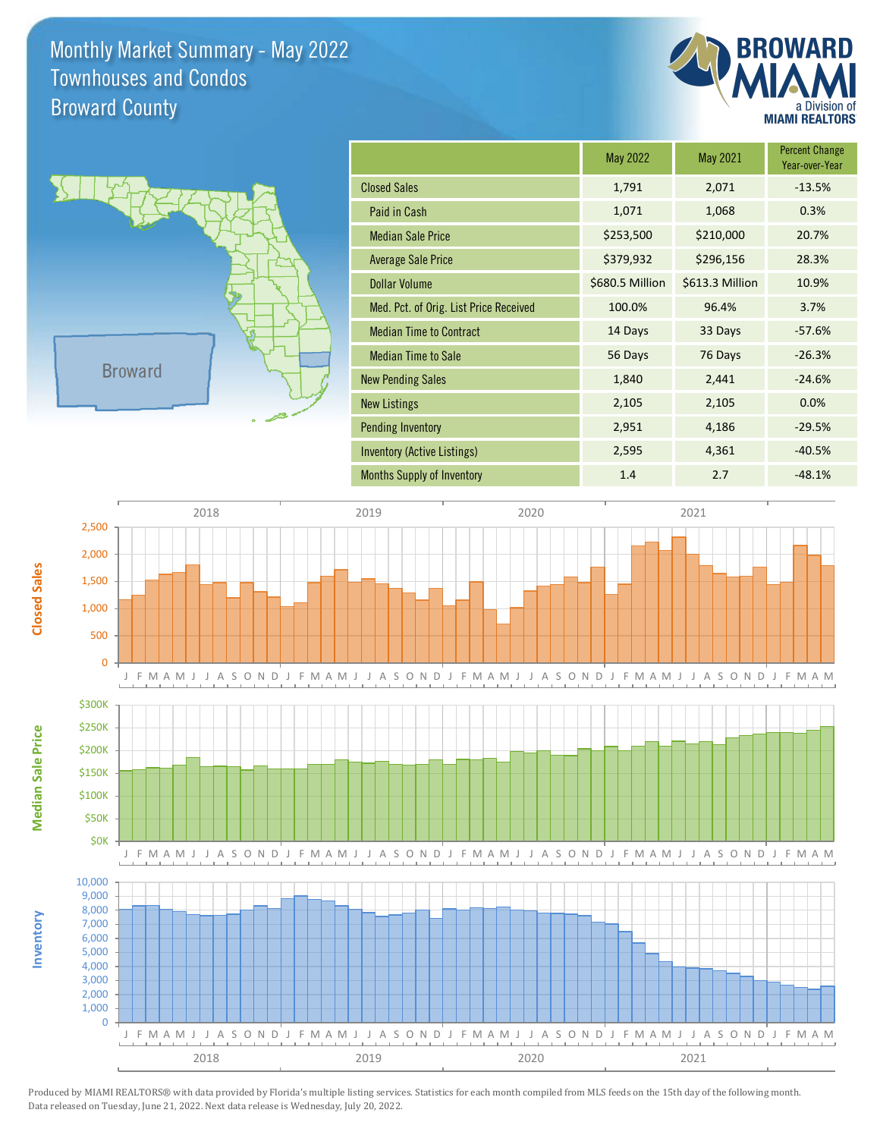Monthly Market Summary - May 2022 Broward County Townhouses and Condos



**Percent Change** 



**Inventory**

**Median Sale Price**

**Median Sale Price** 

**Closed Sales**

|                                        | May 2022        | May 2021        | Year-over-Year |
|----------------------------------------|-----------------|-----------------|----------------|
| <b>Closed Sales</b>                    | 1,791           | 2,071           | $-13.5%$       |
| Paid in Cash                           | 1,071           | 1,068           | 0.3%           |
| <b>Median Sale Price</b>               | \$253,500       | \$210,000       | 20.7%          |
| <b>Average Sale Price</b>              | \$379,932       | \$296,156       | 28.3%          |
| <b>Dollar Volume</b>                   | \$680.5 Million | \$613.3 Million | 10.9%          |
| Med. Pct. of Orig. List Price Received | 100.0%          | 96.4%           | 3.7%           |
| <b>Median Time to Contract</b>         | 14 Days         | 33 Days         | $-57.6%$       |
| <b>Median Time to Sale</b>             | 56 Days         | 76 Days         | $-26.3%$       |
| <b>New Pending Sales</b>               | 1,840           | 2,441           | $-24.6%$       |
| <b>New Listings</b>                    | 2,105           | 2,105           | 0.0%           |
| <b>Pending Inventory</b>               | 2,951           | 4,186           | $-29.5%$       |
| Inventory (Active Listings)            | 2,595           | 4,361           | $-40.5%$       |
| <b>Months Supply of Inventory</b>      | 1.4             | 2.7             | $-48.1%$       |



Produced by MIAMI REALTORS® with data provided by Florida's multiple listing services. Statistics for each month compiled from MLS feeds on the 15th day of the following month. Data released on Tuesday, June 21, 2022. Next data release is Wednesday, July 20, 2022.